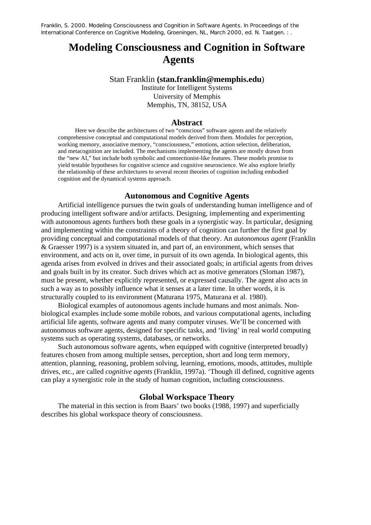Franklin, S. 2000. Modeling Consciousness and Cognition in Software Agents. In *Proceedings of the International Conference on Cognitive Modeling, Groeningen, NL, March 2000*, ed. N. Taatgen. : .

# **Modeling Consciousness and Cognition in Software Agents**

# Stan Franklin **(stan.franklin@memphis.edu**)

Institute for Intelligent Systems University of Memphis Memphis, TN, 38152, USA

### **Abstract**

Here we describe the architectures of two "conscious" software agents and the relatively comprehensive conceptual and computational models derived from them. Modules for perception, working memory, associative memory, "consciousness," emotions, action selection, deliberation, and metacognition are included. The mechanisms implementing the agents are mostly drawn from the "new AI," but include both symbolic and connectionist-like features. These models promise to yield testable hypotheses for cognitive science and cognitive neuroscience. We also explore briefly the relationship of these architectures to several recent theories of cognition including embodied cognition and the dynamical systems approach.

#### **Autonomous and Cognitive Agents**

Artificial intelligence pursues the twin goals of understanding human intelligence and of producing intelligent software and/or artifacts. Designing, implementing and experimenting with autonomous agents furthers both these goals in a synergistic way. In particular, designing and implementing within the constraints of a theory of cognition can further the first goal by providing conceptual and computational models of that theory. An *autonomous agent* (Franklin & Graesser 1997) is a system situated in, and part of, an environment, which senses that environment, and acts on it, over time, in pursuit of its own agenda. In biological agents, this agenda arises from evolved in drives and their associated goals; in artificial agents from drives and goals built in by its creator. Such drives which act as motive generators (Sloman 1987), must be present, whether explicitly represented, or expressed causally. The agent also acts in such a way as to possibly influence what it senses at a later time. In other words, it is structurally coupled to its environment (Maturana 1975, Maturana et al. 1980).

Biological examples of autonomous agents include humans and most animals. Nonbiological examples include some mobile robots, and various computational agents, including artificial life agents, software agents and many computer viruses. We'll be concerned with autonomous software agents, designed for specific tasks, and 'living' in real world computing systems such as operating systems, databases, or networks.

Such autonomous software agents, when equipped with cognitive (interpreted broadly) features chosen from among multiple senses, perception, short and long term memory, attention, planning, reasoning, problem solving, learning, emotions, moods, attitudes, multiple drives, etc., are called *cognitive agents* (Franklin, 1997a). 'Though ill defined, cognitive agents can play a synergistic role in the study of human cognition, including consciousness.

# **Global Workspace Theory**

The material in this section is from Baars' two books (1988, 1997) and superficially describes his global workspace theory of consciousness.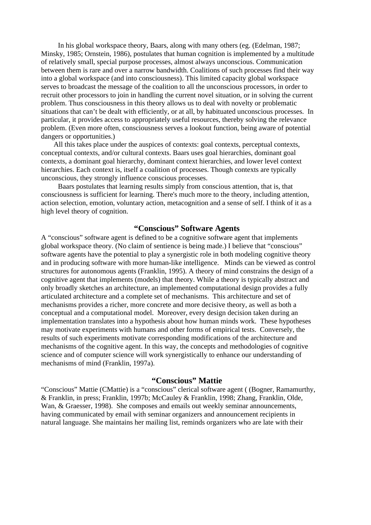In his global workspace theory, Baars, along with many others (eg. (Edelman, 1987; Minsky, 1985; Ornstein, 1986), postulates that human cognition is implemented by a multitude of relatively small, special purpose processes, almost always unconscious. Communication between them is rare and over a narrow bandwidth. Coalitions of such processes find their way into a global workspace (and into consciousness). This limited capacity global workspace serves to broadcast the message of the coalition to all the unconscious processors, in order to recruit other processors to join in handling the current novel situation, or in solving the current problem. Thus consciousness in this theory allows us to deal with novelty or problematic situations that can't be dealt with efficiently, or at all, by habituated unconscious processes. In particular, it provides access to appropriately useful resources, thereby solving the relevance problem. (Even more often, consciousness serves a lookout function, being aware of potential dangers or opportunities.)

 All this takes place under the auspices of contexts: goal contexts, perceptual contexts, conceptual contexts, and/or cultural contexts. Baars uses goal hierarchies, dominant goal contexts, a dominant goal hierarchy, dominant context hierarchies, and lower level context hierarchies. Each context is, itself a coalition of processes. Though contexts are typically unconscious, they strongly influence conscious processes.

Baars postulates that learning results simply from conscious attention, that is, that consciousness is sufficient for learning. There's much more to the theory, including attention, action selection, emotion, voluntary action, metacognition and a sense of self. I think of it as a high level theory of cognition.

# **"Conscious" Software Agents**

A "conscious" software agent is defined to be a cognitive software agent that implements global workspace theory. (No claim of sentience is being made.) I believe that "conscious" software agents have the potential to play a synergistic role in both modeling cognitive theory and in producing software with more human-like intelligence. Minds can be viewed as control structures for autonomous agents (Franklin, 1995). A theory of mind constrains the design of a cognitive agent that implements (models) that theory. While a theory is typically abstract and only broadly sketches an architecture, an implemented computational design provides a fully articulated architecture and a complete set of mechanisms. This architecture and set of mechanisms provides a richer, more concrete and more decisive theory, as well as both a conceptual and a computational model. Moreover, every design decision taken during an implementation translates into a hypothesis about how human minds work. These hypotheses may motivate experiments with humans and other forms of empirical tests. Conversely, the results of such experiments motivate corresponding modifications of the architecture and mechanisms of the cognitive agent. In this way, the concepts and methodologies of cognitive science and of computer science will work synergistically to enhance our understanding of mechanisms of mind (Franklin, 1997a).

## **"Conscious" Mattie**

"Conscious" Mattie (CMattie) is a "conscious" clerical software agent ( (Bogner, Ramamurthy, & Franklin, in press; Franklin, 1997b; McCauley & Franklin, 1998; Zhang, Franklin, Olde, Wan, & Graesser, 1998). She composes and emails out weekly seminar announcements, having communicated by email with seminar organizers and announcement recipients in natural language. She maintains her mailing list, reminds organizers who are late with their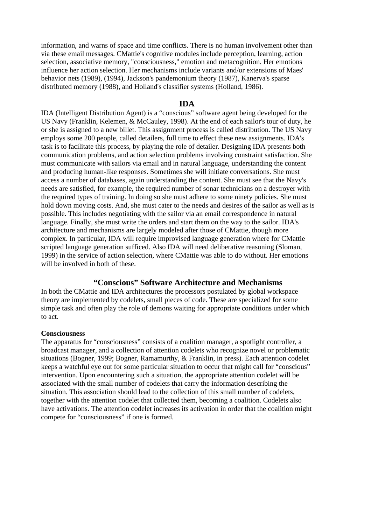information, and warns of space and time conflicts. There is no human involvement other than via these email messages. CMattie's cognitive modules include perception, learning, action selection, associative memory, "consciousness," emotion and metacognition. Her emotions influence her action selection. Her mechanisms include variants and/or extensions of Maes' behavior nets (1989), (1994), Jackson's pandemonium theory (1987), Kanerva's sparse distributed memory (1988), and Holland's classifier systems (Holland, 1986).

## **IDA**

IDA (Intelligent Distribution Agent) is a "conscious" software agent being developed for the US Navy (Franklin, Kelemen, & McCauley, 1998). At the end of each sailor's tour of duty, he or she is assigned to a new billet. This assignment process is called distribution. The US Navy employs some 200 people, called detailers, full time to effect these new assignments. IDA's task is to facilitate this process, by playing the role of detailer. Designing IDA presents both communication problems, and action selection problems involving constraint satisfaction. She must communicate with sailors via email and in natural language, understanding the content and producing human-like responses. Sometimes she will initiate conversations. She must access a number of databases, again understanding the content. She must see that the Navy's needs are satisfied, for example, the required number of sonar technicians on a destroyer with the required types of training. In doing so she must adhere to some ninety policies. She must hold down moving costs. And, she must cater to the needs and desires of the sailor as well as is possible. This includes negotiating with the sailor via an email correspondence in natural language. Finally, she must write the orders and start them on the way to the sailor. IDA's architecture and mechanisms are largely modeled after those of CMattie, though more complex. In particular, IDA will require improvised language generation where for CMattie scripted language generation sufficed. Also IDA will need deliberative reasoning (Sloman, 1999) in the service of action selection, where CMattie was able to do without. Her emotions will be involved in both of these.

## **"Conscious" Software Architecture and Mechanisms**

In both the CMattie and IDA architectures the processors postulated by global workspace theory are implemented by codelets, small pieces of code. These are specialized for some simple task and often play the role of demons waiting for appropriate conditions under which to act.

#### **Consciousness**

The apparatus for "consciousness" consists of a coalition manager, a spotlight controller, a broadcast manager, and a collection of attention codelets who recognize novel or problematic situations (Bogner, 1999; Bogner, Ramamurthy, & Franklin, in press). Each attention codelet keeps a watchful eye out for some particular situation to occur that might call for "conscious" intervention. Upon encountering such a situation, the appropriate attention codelet will be associated with the small number of codelets that carry the information describing the situation. This association should lead to the collection of this small number of codelets, together with the attention codelet that collected them, becoming a coalition. Codelets also have activations. The attention codelet increases its activation in order that the coalition might compete for "consciousness" if one is formed.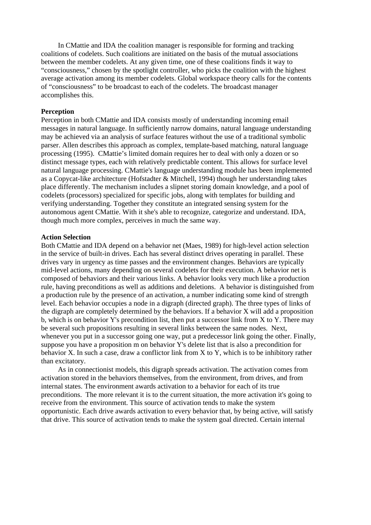In CMattie and IDA the coalition manager is responsible for forming and tracking coalitions of codelets. Such coalitions are initiated on the basis of the mutual associations between the member codelets. At any given time, one of these coalitions finds it way to "consciousness," chosen by the spotlight controller, who picks the coalition with the highest average activation among its member codelets. Global workspace theory calls for the contents of "consciousness" to be broadcast to each of the codelets. The broadcast manager accomplishes this.

### **Perception**

Perception in both CMattie and IDA consists mostly of understanding incoming email messages in natural language. In sufficiently narrow domains, natural language understanding may be achieved via an analysis of surface features without the use of a traditional symbolic parser. Allen describes this approach as complex, template-based matching, natural language processing (1995). CMattie's limited domain requires her to deal with only a dozen or so distinct message types, each with relatively predictable content. This allows for surface level natural language processing. CMattie's language understanding module has been implemented as a Copycat-like architecture (Hofstadter & Mitchell, 1994) though her understanding takes place differently. The mechanism includes a slipnet storing domain knowledge, and a pool of codelets (processors) specialized for specific jobs, along with templates for building and verifying understanding. Together they constitute an integrated sensing system for the autonomous agent CMattie. With it she's able to recognize, categorize and understand. IDA, though much more complex, perceives in much the same way.

#### **Action Selection**

Both CMattie and IDA depend on a behavior net (Maes, 1989) for high-level action selection in the service of built-in drives. Each has several distinct drives operating in parallel. These drives vary in urgency as time passes and the environment changes. Behaviors are typically mid-level actions, many depending on several codelets for their execution. A behavior net is composed of behaviors and their various links. A behavior looks very much like a production rule, having preconditions as well as additions and deletions. A behavior is distinguished from a production rule by the presence of an activation, a number indicating some kind of strength level. Each behavior occupies a node in a digraph (directed graph). The three types of links of the digraph are completely determined by the behaviors. If a behavior X will add a proposition b, which is on behavior Y's precondition list, then put a successor link from X to Y. There may be several such propositions resulting in several links between the same nodes. Next, whenever you put in a successor going one way, put a predecessor link going the other. Finally, suppose you have a proposition m on behavior Y's delete list that is also a precondition for behavior X. In such a case, draw a conflictor link from X to Y, which is to be inhibitory rather than excitatory.

As in connectionist models, this digraph spreads activation. The activation comes from activation stored in the behaviors themselves, from the environment, from drives, and from internal states. The environment awards activation to a behavior for each of its true preconditions. The more relevant it is to the current situation, the more activation it's going to receive from the environment. This source of activation tends to make the system opportunistic. Each drive awards activation to every behavior that, by being active, will satisfy that drive. This source of activation tends to make the system goal directed. Certain internal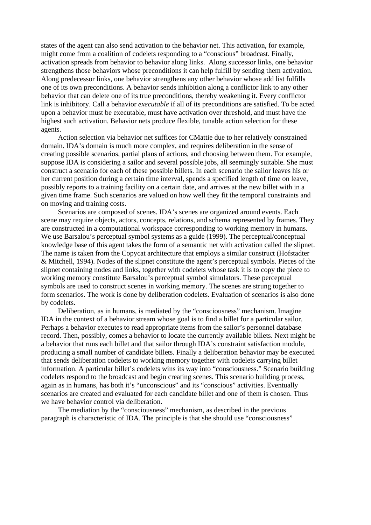states of the agent can also send activation to the behavior net. This activation, for example, might come from a coalition of codelets responding to a "conscious" broadcast. Finally, activation spreads from behavior to behavior along links. Along successor links, one behavior strengthens those behaviors whose preconditions it can help fulfill by sending them activation. Along predecessor links, one behavior strengthens any other behavior whose add list fulfills one of its own preconditions. A behavior sends inhibition along a conflictor link to any other behavior that can delete one of its true preconditions, thereby weakening it. Every conflictor link is inhibitory. Call a behavior *executable* if all of its preconditions are satisfied. To be acted upon a behavior must be executable, must have activation over threshold, and must have the highest such activation. Behavior nets produce flexible, tunable action selection for these agents.

Action selection via behavior net suffices for CMattie due to her relatively constrained domain. IDA's domain is much more complex, and requires deliberation in the sense of creating possible scenarios, partial plans of actions, and choosing between them. For example, suppose IDA is considering a sailor and several possible jobs, all seemingly suitable. She must construct a scenario for each of these possible billets. In each scenario the sailor leaves his or her current position during a certain time interval, spends a specified length of time on leave, possibly reports to a training facility on a certain date, and arrives at the new billet with in a given time frame. Such scenarios are valued on how well they fit the temporal constraints and on moving and training costs.

Scenarios are composed of scenes. IDA's scenes are organized around events. Each scene may require objects, actors, concepts, relations, and schema represented by frames. They are constructed in a computational workspace corresponding to working memory in humans. We use Barsalou's perceptual symbol systems as a guide (1999). The perceptual/conceptual knowledge base of this agent takes the form of a semantic net with activation called the slipnet. The name is taken from the Copycat architecture that employs a similar construct (Hofstadter & Mitchell, 1994). Nodes of the slipnet constitute the agent's perceptual symbols. Pieces of the slipnet containing nodes and links, together with codelets whose task it is to copy the piece to working memory constitute Barsalou's perceptual symbol simulators. These perceptual symbols are used to construct scenes in working memory. The scenes are strung together to form scenarios. The work is done by deliberation codelets. Evaluation of scenarios is also done by codelets.

Deliberation, as in humans, is mediated by the "consciousness" mechanism. Imagine IDA in the context of a behavior stream whose goal is to find a billet for a particular sailor. Perhaps a behavior executes to read appropriate items from the sailor's personnel database record. Then, possibly, comes a behavior to locate the currently available billets. Next might be a behavior that runs each billet and that sailor through IDA's constraint satisfaction module, producing a small number of candidate billets. Finally a deliberation behavior may be executed that sends deliberation codelets to working memory together with codelets carrying billet information. A particular billet's codelets wins its way into "consciousness." Scenario building codelets respond to the broadcast and begin creating scenes. This scenario building process, again as in humans, has both it's "unconscious" and its "conscious" activities. Eventually scenarios are created and evaluated for each candidate billet and one of them is chosen. Thus we have behavior control via deliberation.

The mediation by the "consciousness" mechanism, as described in the previous paragraph is characteristic of IDA. The principle is that she should use "consciousness"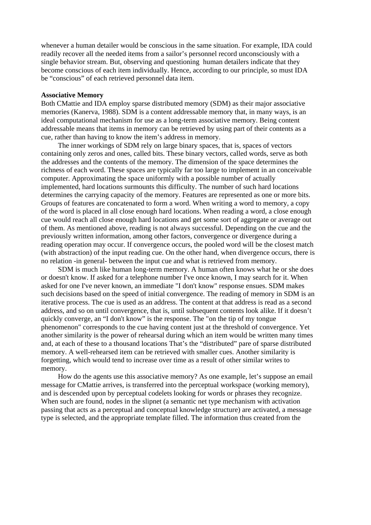whenever a human detailer would be conscious in the same situation. For example, IDA could readily recover all the needed items from a sailor's personnel record unconsciously with a single behavior stream. But, observing and questioning human detailers indicate that they become conscious of each item individually. Hence, according to our principle, so must IDA be "conscious" of each retrieved personnel data item.

## **Associative Memory**

Both CMattie and IDA employ sparse distributed memory (SDM) as their major associative memories (Kanerva, 1988). SDM is a content addressable memory that, in many ways, is an ideal computational mechanism for use as a long-term associative memory. Being content addressable means that items in memory can be retrieved by using part of their contents as a cue, rather than having to know the item's address in memory.

The inner workings of SDM rely on large binary spaces, that is, spaces of vectors containing only zeros and ones, called bits. These binary vectors, called words, serve as both the addresses and the contents of the memory. The dimension of the space determines the richness of each word. These spaces are typically far too large to implement in an conceivable computer. Approximating the space uniformly with a possible number of actually implemented, hard locations surmounts this difficulty. The number of such hard locations determines the carrying capacity of the memory. Features are represented as one or more bits. Groups of features are concatenated to form a word. When writing a word to memory, a copy of the word is placed in all close enough hard locations. When reading a word, a close enough cue would reach all close enough hard locations and get some sort of aggregate or average out of them. As mentioned above, reading is not always successful. Depending on the cue and the previously written information, among other factors, convergence or divergence during a reading operation may occur. If convergence occurs, the pooled word will be the closest match (with abstraction) of the input reading cue. On the other hand, when divergence occurs, there is no relation -in general- between the input cue and what is retrieved from memory.

SDM is much like human long-term memory. A human often knows what he or she does or doesn't know. If asked for a telephone number I've once known, I may search for it. When asked for one I've never known, an immediate "I don't know" response ensues. SDM makes such decisions based on the speed of initial convergence. The reading of memory in SDM is an iterative process. The cue is used as an address. The content at that address is read as a second address, and so on until convergence, that is, until subsequent contents look alike. If it doesn't quickly converge, an "I don't know" is the response. The "on the tip of my tongue phenomenon" corresponds to the cue having content just at the threshold of convergence. Yet another similarity is the power of rehearsal during which an item would be written many times and, at each of these to a thousand locations That's the "distributed" pare of sparse distributed memory. A well-rehearsed item can be retrieved with smaller cues. Another similarity is forgetting, which would tend to increase over time as a result of other similar writes to memory.

How do the agents use this associative memory? As one example, let's suppose an email message for CMattie arrives, is transferred into the perceptual workspace (working memory), and is descended upon by perceptual codelets looking for words or phrases they recognize. When such are found, nodes in the slipnet (a semantic net type mechanism with activation passing that acts as a perceptual and conceptual knowledge structure) are activated, a message type is selected, and the appropriate template filled. The information thus created from the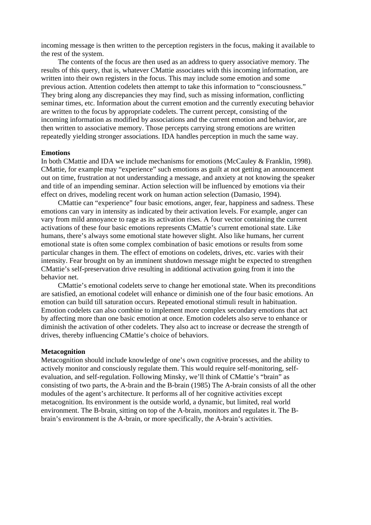incoming message is then written to the perception registers in the focus, making it available to the rest of the system.

The contents of the focus are then used as an address to query associative memory. The results of this query, that is, whatever CMattie associates with this incoming information, are written into their own registers in the focus. This may include some emotion and some previous action. Attention codelets then attempt to take this information to "consciousness." They bring along any discrepancies they may find, such as missing information, conflicting seminar times, etc. Information about the current emotion and the currently executing behavior are written to the focus by appropriate codelets. The current percept, consisting of the incoming information as modified by associations and the current emotion and behavior, are then written to associative memory. Those percepts carrying strong emotions are written repeatedly yielding stronger associations. IDA handles perception in much the same way.

#### **Emotions**

In both CMattie and IDA we include mechanisms for emotions (McCauley & Franklin, 1998). CMattie, for example may "experience" such emotions as guilt at not getting an announcement out on time, frustration at not understanding a message, and anxiety at not knowing the speaker and title of an impending seminar. Action selection will be influenced by emotions via their effect on drives, modeling recent work on human action selection (Damasio, 1994).

CMattie can "experience" four basic emotions, anger, fear, happiness and sadness. These emotions can vary in intensity as indicated by their activation levels. For example, anger can vary from mild annoyance to rage as its activation rises. A four vector containing the current activations of these four basic emotions represents CMattie's current emotional state. Like humans, there's always some emotional state however slight. Also like humans, her current emotional state is often some complex combination of basic emotions or results from some particular changes in them. The effect of emotions on codelets, drives, etc. varies with their intensity. Fear brought on by an imminent shutdown message might be expected to strengthen CMattie's self-preservation drive resulting in additional activation going from it into the behavior net.

CMattie's emotional codelets serve to change her emotional state. When its preconditions are satisfied, an emotional codelet will enhance or diminish one of the four basic emotions. An emotion can build till saturation occurs. Repeated emotional stimuli result in habituation. Emotion codelets can also combine to implement more complex secondary emotions that act by affecting more than one basic emotion at once. Emotion codelets also serve to enhance or diminish the activation of other codelets. They also act to increase or decrease the strength of drives, thereby influencing CMattie's choice of behaviors.

#### **Metacognition**

Metacognition should include knowledge of one's own cognitive processes, and the ability to actively monitor and consciously regulate them. This would require self-monitoring, selfevaluation, and self-regulation. Following Minsky, we'll think of CMattie's "brain" as consisting of two parts, the A-brain and the B-brain (1985) The A-brain consists of all the other modules of the agent's architecture. It performs all of her cognitive activities except metacognition. Its environment is the outside world, a dynamic, but limited, real world environment. The B-brain, sitting on top of the A-brain, monitors and regulates it. The Bbrain's environment is the A-brain, or more specifically, the A-brain's activities.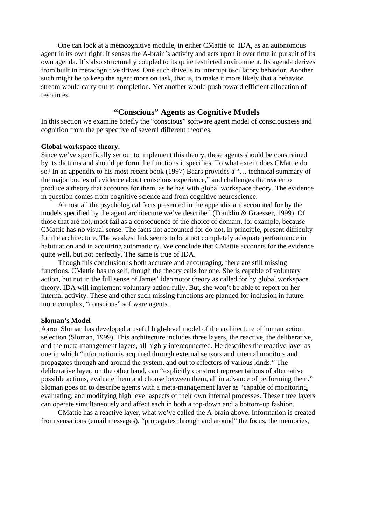One can look at a metacognitive module, in either CMattie or IDA, as an autonomous agent in its own right. It senses the A-brain's activity and acts upon it over time in pursuit of its own agenda. It's also structurally coupled to its quite restricted environment. Its agenda derives from built in metacognitive drives. One such drive is to interrupt oscillatory behavior. Another such might be to keep the agent more on task, that is, to make it more likely that a behavior stream would carry out to completion. Yet another would push toward efficient allocation of resources.

# **"Conscious" Agents as Cognitive Models**

In this section we examine briefly the "conscious" software agent model of consciousness and cognition from the perspective of several different theories.

#### **Global workspace theory.**

Since we've specifically set out to implement this theory, these agents should be constrained by its dictums and should perform the functions it specifies. To what extent does CMattie do so? In an appendix to his most recent book (1997) Baars provides a "… technical summary of the major bodies of evidence about conscious experience," and challenges the reader to produce a theory that accounts for them, as he has with global workspace theory. The evidence in question comes from cognitive science and from cognitive neuroscience.

Almost all the psychological facts presented in the appendix are accounted for by the models specified by the agent architecture we've described (Franklin & Graesser, 1999). Of those that are not, most fail as a consequence of the choice of domain, for example, because CMattie has no visual sense. The facts not accounted for do not, in principle, present difficulty for the architecture. The weakest link seems to be a not completely adequate performance in habituation and in acquiring automaticity. We conclude that CMattie accounts for the evidence quite well, but not perfectly. The same is true of IDA.

Though this conclusion is both accurate and encouraging, there are still missing functions. CMattie has no self, though the theory calls for one. She is capable of voluntary action, but not in the full sense of James' ideomotor theory as called for by global workspace theory. IDA will implement voluntary action fully. But, she won't be able to report on her internal activity. These and other such missing functions are planned for inclusion in future, more complex, "conscious" software agents.

#### **Sloman's Model**

Aaron Sloman has developed a useful high-level model of the architecture of human action selection (Sloman, 1999). This architecture includes three layers, the reactive, the deliberative, and the meta-management layers, all highly interconnected. He describes the reactive layer as one in which "information is acquired through external sensors and internal monitors and propagates through and around the system, and out to effectors of various kinds." The deliberative layer, on the other hand, can "explicitly construct representations of alternative possible actions, evaluate them and choose between them, all in advance of performing them." Sloman goes on to describe agents with a meta-management layer as "capable of monitoring, evaluating, and modifying high level aspects of their own internal processes. These three layers can operate simultaneously and affect each in both a top-down and a bottom-up fashion.

CMattie has a reactive layer, what we've called the A-brain above. Information is created from sensations (email messages), "propagates through and around" the focus, the memories,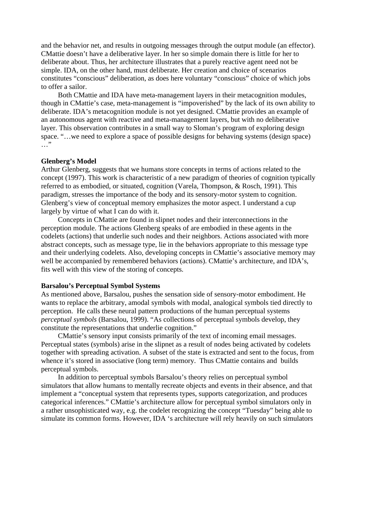and the behavior net, and results in outgoing messages through the output module (an effector). CMattie doesn't have a deliberative layer. In her so simple domain there is little for her to deliberate about. Thus, her architecture illustrates that a purely reactive agent need not be simple. IDA, on the other hand, must deliberate. Her creation and choice of scenarios constitutes "conscious" deliberation, as does here voluntary "conscious" choice of which jobs to offer a sailor.

Both CMattie and IDA have meta-management layers in their metacognition modules, though in CMattie's case, meta-management is "impoverished" by the lack of its own ability to deliberate. IDA's metacognition module is not yet designed. CMattie provides an example of an autonomous agent with reactive and meta-management layers, but with no deliberative layer. This observation contributes in a small way to Sloman's program of exploring design space. "…we need to explore a space of possible designs for behaving systems (design space)  $\left[\cdot\right]$  ...

#### **Glenberg's Model**

Arthur Glenberg, suggests that we humans store concepts in terms of actions related to the concept (1997). This work is characteristic of a new paradigm of theories of cognition typically referred to as embodied, or situated, cognition (Varela, Thompson, & Rosch, 1991). This paradigm, stresses the importance of the body and its sensory-motor system to cognition. Glenberg's view of conceptual memory emphasizes the motor aspect. I understand a cup largely by virtue of what I can do with it.

Concepts in CMattie are found in slipnet nodes and their interconnections in the perception module. The actions Glenberg speaks of are embodied in these agents in the codelets (actions) that underlie such nodes and their neighbors. Actions associated with more abstract concepts, such as message type, lie in the behaviors appropriate to this message type and their underlying codelets. Also, developing concepts in CMattie's associative memory may well be accompanied by remembered behaviors (actions). CMattie's architecture, and IDA's, fits well with this view of the storing of concepts.

#### **Barsalou's Perceptual Symbol Systems**

As mentioned above, Barsalou, pushes the sensation side of sensory-motor embodiment. He wants to replace the arbitrary, amodal symbols with modal, analogical symbols tied directly to perception. He calls these neural pattern productions of the human perceptual systems *perceptual symbols* (Barsalou, 1999). "As collections of perceptual symbols develop, they constitute the representations that underlie cognition."

CMattie's sensory input consists primarily of the text of incoming email messages. Perceptual states (symbols) arise in the slipnet as a result of nodes being activated by codelets together with spreading activation. A subset of the state is extracted and sent to the focus, from whence it's stored in associative (long term) memory. Thus CMattie contains and builds perceptual symbols.

In addition to perceptual symbols Barsalou's theory relies on perceptual symbol simulators that allow humans to mentally recreate objects and events in their absence, and that implement a "conceptual system that represents types, supports categorization, and produces categorical inferences." CMattie's architecture allow for perceptual symbol simulators only in a rather unsophisticated way, e.g. the codelet recognizing the concept "Tuesday" being able to simulate its common forms. However, IDA 's architecture will rely heavily on such simulators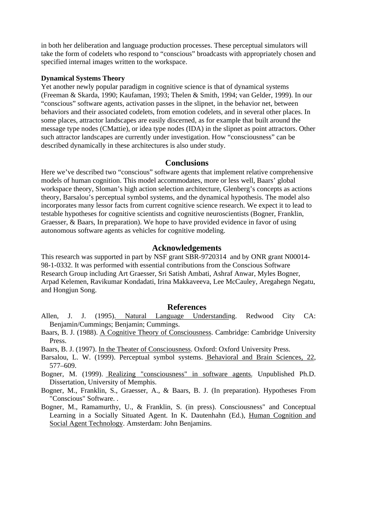in both her deliberation and language production processes. These perceptual simulators will take the form of codelets who respond to "conscious" broadcasts with appropriately chosen and specified internal images written to the workspace.

#### **Dynamical Systems Theory**

Yet another newly popular paradigm in cognitive science is that of dynamical systems (Freeman & Skarda, 1990; Kaufaman, 1993; Thelen & Smith, 1994; van Gelder, 1999). In our "conscious" software agents, activation passes in the slipnet, in the behavior net, between behaviors and their associated codelets, from emotion codelets, and in several other places. In some places, attractor landscapes are easily discerned, as for example that built around the message type nodes (CMattie), or idea type nodes (IDA) in the slipnet as point attractors. Other such attractor landscapes are currently under investigation. How "consciousness" can be described dynamically in these architectures is also under study.

# **Conclusions**

Here we've described two "conscious" software agents that implement relative comprehensive models of human cognition. This model accommodates, more or less well, Baars' global workspace theory, Sloman's high action selection architecture, Glenberg's concepts as actions theory, Barsalou's perceptual symbol systems, and the dynamical hypothesis. The model also incorporates many lessor facts from current cognitive science research. We expect it to lead to testable hypotheses for cognitive scientists and cognitive neuroscientists (Bogner, Franklin, Graesser, & Baars, In preparation). We hope to have provided evidence in favor of using autonomous software agents as vehicles for cognitive modeling.

## **Acknowledgements**

This research was supported in part by NSF grant SBR-9720314 and by ONR grant N00014- 98-1-0332. It was performed with essential contributions from the Conscious Software Research Group including Art Graesser, Sri Satish Ambati, Ashraf Anwar, Myles Bogner, Arpad Kelemen, Ravikumar Kondadati, Irina Makkaveeva, Lee McCauley, Aregahegn Negatu, and Hongjun Song.

### **References**

- Allen, J. J. (1995). Natural Language Understanding. Redwood City CA: Benjamin/Cummings; Benjamin; Cummings.
- Baars, B. J. (1988). A Cognitive Theory of Consciousness. Cambridge: Cambridge University Press.

Baars, B. J. (1997). In the Theater of Consciousness. Oxford: Oxford University Press.

- Barsalou, L. W. (1999). Perceptual symbol systems. Behavioral and Brain Sciences, 22, 577–609.
- Bogner, M. (1999). Realizing "consciousness" in software agents. Unpublished Ph.D. Dissertation, University of Memphis.
- Bogner, M., Franklin, S., Graesser, A., & Baars, B. J. (In preparation). Hypotheses From "Conscious" Software. .
- Bogner, M., Ramamurthy, U., & Franklin, S. (in press). Consciousness" and Conceptual Learning in a Socially Situated Agent. In K. Dautenhahn (Ed.), Human Cognition and Social Agent Technology. Amsterdam: John Benjamins.